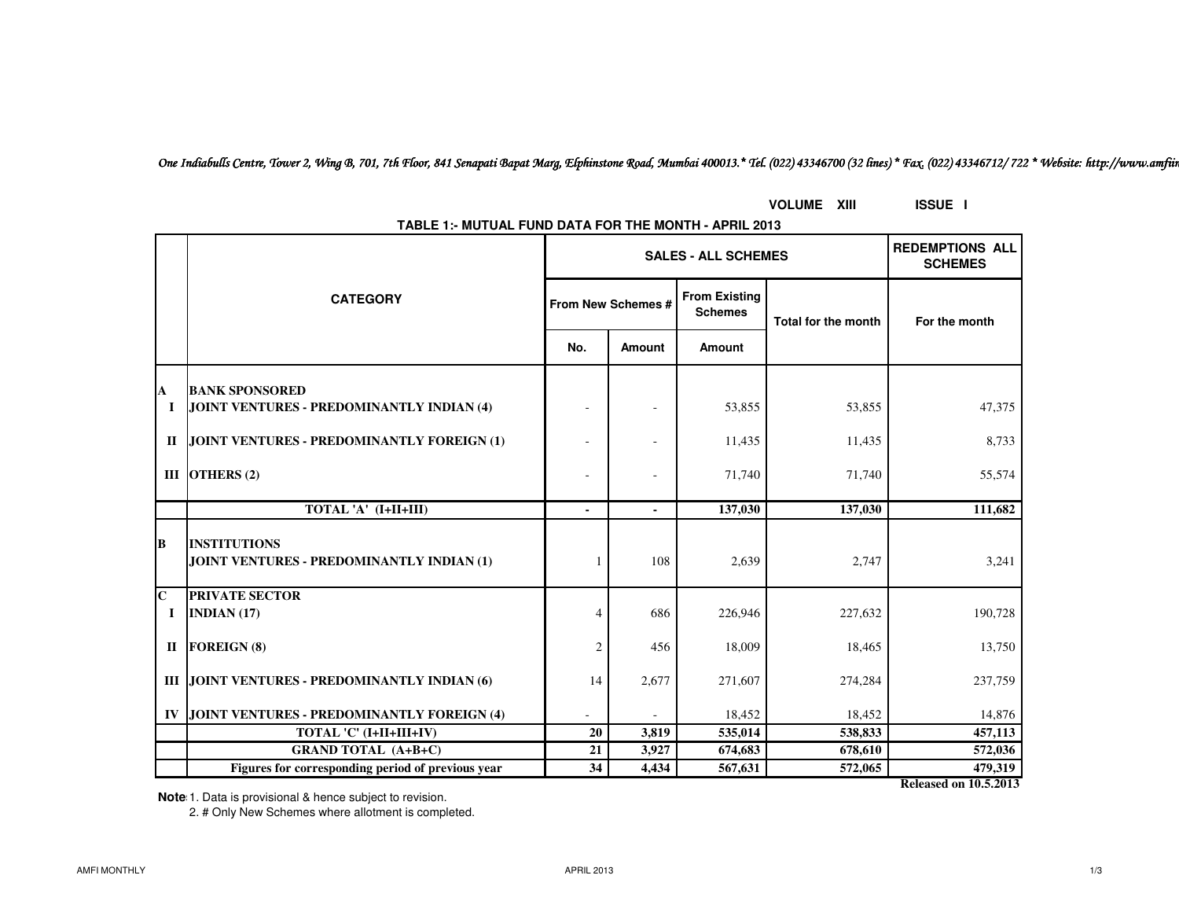*One Indiabulls Centre, Tower 2, Wing B, 701, 7th Floor, 841 Senapati Bapat Marg, Elphinstone Road, Mumbai 400013.\* Tel. (022) 43346700 (32 lines) \* Fax. (022) 43346712/ 722 \* Website: http://www.amfiindia.com*

|    | TABLE 1:- MUTUAL FUND DATA FOR THE MONTH - APRIL 2013            |                    |                            |                                          |                            |               |  |
|----|------------------------------------------------------------------|--------------------|----------------------------|------------------------------------------|----------------------------|---------------|--|
|    |                                                                  |                    | <b>SALES - ALL SCHEMES</b> | <b>REDEMPTIONS ALL</b><br><b>SCHEMES</b> |                            |               |  |
|    | <b>CATEGORY</b>                                                  | From New Schemes # |                            | <b>From Existing</b><br><b>Schemes</b>   | <b>Total for the month</b> | For the month |  |
|    |                                                                  | No.                | <b>Amount</b>              | Amount                                   |                            |               |  |
| A  | <b>BANK SPONSORED</b>                                            |                    |                            |                                          |                            |               |  |
| I  | JOINT VENTURES - PREDOMINANTLY INDIAN (4)                        |                    |                            | 53,855                                   | 53,855                     | 47,375        |  |
|    | II JOINT VENTURES - PREDOMINANTLY FOREIGN (1)                    |                    |                            | 11,435                                   | 11,435                     | 8,733         |  |
|    | III OTHERS $(2)$                                                 |                    |                            | 71,740                                   | 71,740                     | 55,574        |  |
|    | TOTAL 'A' (I+II+III)                                             |                    |                            | 137,030                                  | 137,030                    | 111,682       |  |
| B  | <b>INSTITUTIONS</b><br>JOINT VENTURES - PREDOMINANTLY INDIAN (1) |                    | 108                        | 2,639                                    | 2,747                      | 3,241         |  |
| Ċ. | <b>PRIVATE SECTOR</b>                                            |                    |                            |                                          |                            |               |  |
| 1  | INDIAN $(17)$                                                    | 4                  | 686                        | 226,946                                  | 227,632                    | 190,728       |  |
|    | II FOREIGN (8)                                                   | $\overline{c}$     | 456                        | 18,009                                   | 18,465                     | 13,750        |  |
|    | III JOINT VENTURES - PREDOMINANTLY INDIAN (6)                    | 14                 | 2,677                      | 271,607                                  | 274,284                    | 237,759       |  |
|    | IV JOINT VENTURES - PREDOMINANTLY FOREIGN (4)                    |                    |                            | 18,452                                   | 18,452                     | 14,876        |  |
|    | TOTAL 'C' (I+II+III+IV)                                          | 20                 | 3,819                      | 535,014                                  | 538,833                    | 457,113       |  |
|    | <b>GRAND TOTAL (A+B+C)</b>                                       | 21                 | 3,927                      | 674,683                                  | 678,610                    | 572,036       |  |
|    | Figures for corresponding period of previous year                | 34                 | 4,434                      | 567,631                                  | 572,065                    | 479,319       |  |

**TABLE 1:- MUTUAL FUND DATA FOR THE MONTH - APRIL 2013**

**VOLUME XIII ISSUE I**

**Released on 10.5.2013**

**Note**: 1. Data is provisional & hence subject to revision.

2. # Only New Schemes where allotment is completed.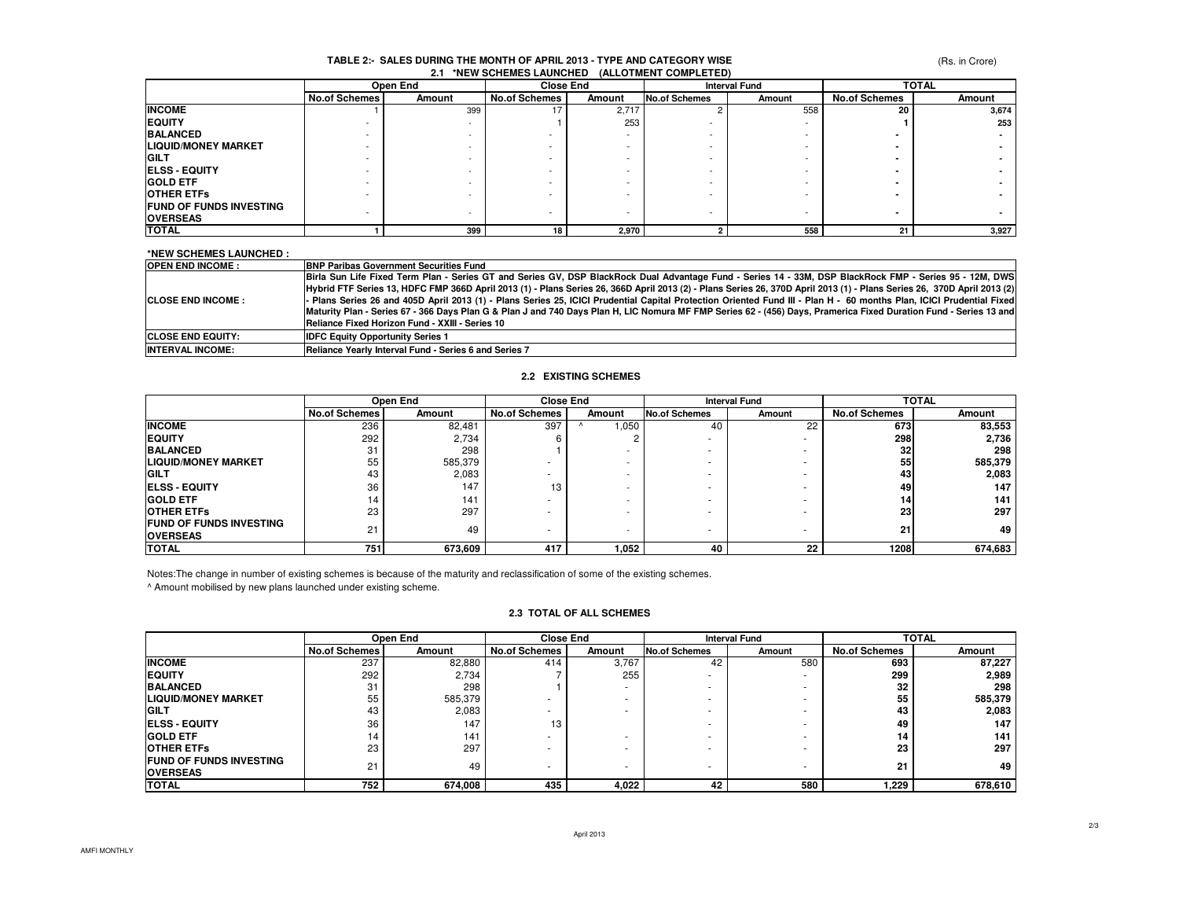### (Rs. in Crore)

#### **2.1 \*NEW SCHEMES LAUNCHED (ALLOTMENT COMPLETED)TABLE 2:- SALES DURING THE MONTH OF APRIL 2013 - TYPE AND CATEGORY WISE**

|                                | Open End             |        | <b>Close End</b>     |        | <b>Interval Fund</b>     |                          | <b>TOTAL</b>         |        |
|--------------------------------|----------------------|--------|----------------------|--------|--------------------------|--------------------------|----------------------|--------|
|                                | <b>No.of Schemes</b> | Amount | <b>No.of Schemes</b> | Amount | No.of Schemes            | Amount                   | <b>No.of Schemes</b> | Amount |
| <b>INCOME</b>                  |                      | 399    | 17                   | 2,717  |                          | 558                      | 20                   | 3,674  |
| <b>EQUITY</b>                  |                      |        |                      | 253    |                          |                          |                      | 253    |
| <b>BALANCED</b>                |                      |        |                      |        |                          |                          |                      |        |
| <b>LIQUID/MONEY MARKET</b>     |                      |        |                      |        |                          |                          |                      |        |
| <b>IGILT</b>                   |                      |        |                      |        | $\overline{\phantom{a}}$ |                          |                      |        |
| <b>IELSS - EQUITY</b>          |                      |        |                      |        | $\overline{\phantom{a}}$ |                          |                      |        |
| <b>GOLD ETF</b>                |                      |        |                      |        | $\overline{\phantom{a}}$ |                          |                      |        |
| <b>OTHER ETFS</b>              |                      |        |                      |        | $\overline{\phantom{a}}$ |                          |                      |        |
| <b>FUND OF FUNDS INVESTING</b> |                      |        |                      |        |                          |                          |                      |        |
| <b>OVERSEAS</b>                |                      |        | -                    |        | $\overline{\phantom{a}}$ | $\overline{\phantom{a}}$ |                      |        |
| <b>TOTAL</b>                   |                      | 399    | 18 <sub>1</sub>      | 2,970  |                          | 558                      | 21                   | 3,927  |

### **\*NEW SCHEMES LAUNCHED :**

| <b>OPEN END INCOME:</b>    | <b>BNP Paribas Government Securities Fund</b>                                                                                                                            |
|----------------------------|--------------------------------------------------------------------------------------------------------------------------------------------------------------------------|
|                            | Birla Sun Life Fixed Term Plan - Series GT and Series GV, DSP BlackRock Dual Advantage Fund - Series 14 - 33M, DSP BlackRock FMP - Series 95 - 12M, DWS                  |
|                            | [Hybrid FTF Series 13, HDFC FMP 366D April 2013 (1) - Plans Series 26, 366D April 2013 (2) - Plans Series 26, 370D April 2013 (1) - Plans Series 26, 370D April 2013 (2) |
| <b>ICLOSE END INCOME :</b> | Plans Series 26 and 405D April 2013 (1) - Plans Series 25, ICICI Prudential Capital Protection Oriented Fund III - Plan H - 60 months Plan, ICICI Prudential Fixed       |
|                            | Maturity Plan - Series 67 - 366 Days Plan G & Plan J and 740 Days Plan H, LIC Nomura MF FMP Series 62 - (456) Days, Pramerica Fixed Duration Fund - Series 13 and        |
|                            | Reliance Fixed Horizon Fund - XXIII - Series 10                                                                                                                          |
| <b>ICLOSE END EQUITY:</b>  | <b>IDFC Equity Opportunity Series 1</b>                                                                                                                                  |
| <b>INTERVAL INCOME:</b>    | Reliance Yearly Interval Fund - Series 6 and Series 7                                                                                                                    |

#### **2.2 EXISTING SCHEMES**

|                                                   | Open End             |         | <b>Close End</b>     |                          | <b>Interval Fund</b> |        | <b>TOTAL</b>         |         |
|---------------------------------------------------|----------------------|---------|----------------------|--------------------------|----------------------|--------|----------------------|---------|
|                                                   | <b>No.of Schemes</b> | Amount  | <b>No.of Schemes</b> | Amount                   | <b>No.of Schemes</b> | Amount | <b>No.of Schemes</b> | Amount  |
| <b>INCOME</b>                                     | 236                  | 82,481  | 397                  | ,050                     | 40                   | 22     | 673                  | 83,553  |
| <b>IEQUITY</b>                                    | 292                  | 2,734   |                      | $\sqrt{2}$               | ۰                    |        | 298                  | 2,736   |
| <b>BALANCED</b>                                   | 31                   | 298     |                      |                          | ۰                    |        | 32                   | 298     |
| <b>LIQUID/MONEY MARKET</b>                        | 55                   | 585,379 |                      |                          | ۰                    |        | 55                   | 585,379 |
| <b>GILT</b>                                       | 43                   | 2,083   |                      | $\overline{\phantom{a}}$ | ۰                    |        | 43                   | 2,083   |
| <b>IELSS - EQUITY</b>                             | 36                   | 147     | 13                   |                          | ۰                    |        | 49                   | 147     |
| <b>GOLD ETF</b>                                   | 14                   | 141     |                      |                          | ۰                    |        | 14                   | 141     |
| <b>OTHER ETFS</b>                                 | 23                   | 297     |                      | $\overline{\phantom{a}}$ | ۰                    |        | 23                   | 297     |
| <b>FUND OF FUNDS INVESTING</b><br><b>OVERSEAS</b> | 21                   | 49      |                      | ۰                        |                      |        | 21                   | 49      |
| <b>TOTAL</b>                                      | 751                  | 673,609 | 417                  | 1,052                    | 40                   | 22     | 1208                 | 674,683 |

Notes:The change in number of existing schemes is because of the maturity and reclassification of some of the existing schemes. ^ Amount mobilised by new plans launched under existing scheme.

### **2.3 TOTAL OF ALL SCHEMES**

|                                | Open End             |         |                      | <b>Close End</b> |                      | <b>Interval Fund</b> | <b>TOTAL</b>         |                  |
|--------------------------------|----------------------|---------|----------------------|------------------|----------------------|----------------------|----------------------|------------------|
|                                | <b>No.of Schemes</b> | Amount  | <b>No.of Schemes</b> | Amount           | <b>No.of Schemes</b> | Amount               | <b>No.of Schemes</b> | Amount           |
| <b>INCOME</b>                  | 237                  | 82,880  | 414                  | 3,767            | 42                   | 580                  | 693                  | 87,227           |
| <b>IEQUITY</b>                 | 292                  | 2,734   |                      | 255              | ۰                    |                      | 299                  | 2,989            |
| <b>BALANCED</b>                | 31                   | 298     |                      |                  |                      |                      | 32                   | 298              |
| <b>LIQUID/MONEY MARKET</b>     | 55                   | 585,379 |                      |                  |                      |                      | 55                   | 585,379          |
| <b>GILT</b>                    | 43                   | 2,083   |                      |                  |                      |                      | 43                   | 2,083            |
| <b>IELSS - EQUITY</b>          | 36                   | 147     | 13                   |                  |                      |                      | 49                   | 147 <sub>1</sub> |
| <b>GOLD ETF</b>                | 14                   | 141     |                      |                  |                      | ۰                    | 14                   | 141              |
| <b>OTHER ETFS</b>              | 23                   | 297     |                      |                  | ۰                    |                      | 23                   | 297              |
| <b>FUND OF FUNDS INVESTING</b> | 21                   | 49      |                      |                  | ۰                    |                      | 21                   | 49               |
| <b>OVERSEAS</b>                |                      |         |                      |                  |                      |                      |                      |                  |
| <b>TOTAL</b>                   | 752                  | 674,008 | 435                  | 4,022            | 42                   | 580                  | 229. ا               | 678,610          |